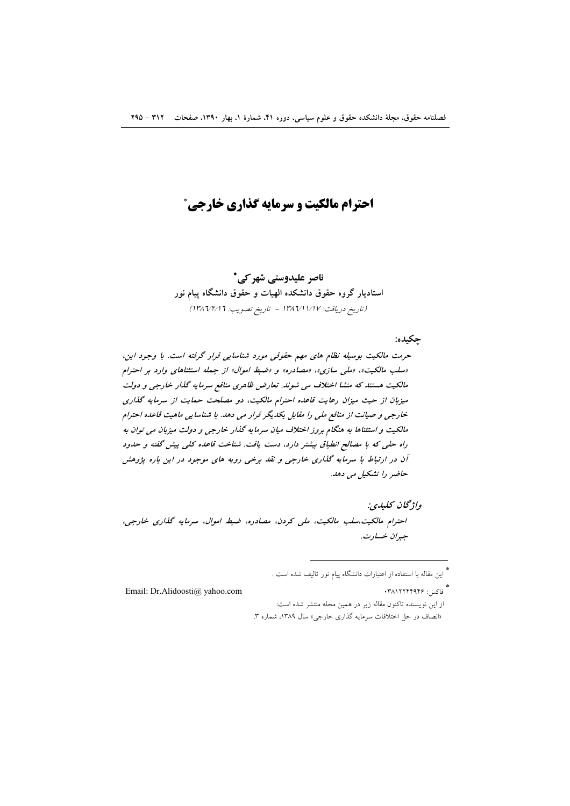# **احترام مالکیت و سرمایه گذاری خارجی \***

# ناصر علیدوستی شهر کی\*

استادیار گروه حقوق دانشکده الهیات و حقوق دانشگاه پیام نور (تاريخ دريافت: ١٣٨٦/١/١/١٧ - تاريخ تصويب: ١٣٨٦/٢/١)

چکيده:

حرمت مالکیت بوسیله نظام های مهم حقوقی مورد شناسایی قرار گرفته است. با وجود این، «سلب مالکیت»، «ملبی سازی»، «مصادره» و «ضبط اموال» از جمله استثناهای وارد بر احترام مالکیت هستند که منشا اختلاف می شوند. تعارض ظاهری منافع سرمایه گذار خارجی و دولت میزبان از حیث میزان رعایت قاعده احترام مالکیت، دو مصلحت حمایت از سرمایه گذاری خارجی و صیانت از منافع ملی را مقابل یکدیگر قرار می دهد. با شناسایی ماهیت قاعده احترام مالکیت و استثناها به هنگام بروز اختلاف میان سرمایه گذار خارجی و دولت میزبان می توان به راه حلی که با مصالح انطباق بیشتر دارد، دست یافت. شناخت قاعده کلی پیش گفته و حدود آن در ارتباط با سرمایه گذاری خارجی و نقد برخی رویه های موجود در این باره پژوهش حاضر را تشکیل می دهد.

واژگان كليدي: احترام مالکیت،سلب مالکیت، ملی کردن، مصادره، ضبط اموال، سرمایه گذاری خارجی، جبران خسارت.

\*<br>" فاكس: ۱۳۸۱۲۲۴۹۴۶

Email: Dr.Alidoosti@ yahoo.com

از این نویسنده تاکنون مقاله زیر در همین مجله منتشر شده است: «انصاف در حل اختلافات سرمایه گذاری خارجی» سال ۱۳۸۹، شماره ۳.

<sup>\*&</sup>lt;br>\* این مقاله با استفاده از اعتبارات دانشگاه پیام نور تالیف شده است .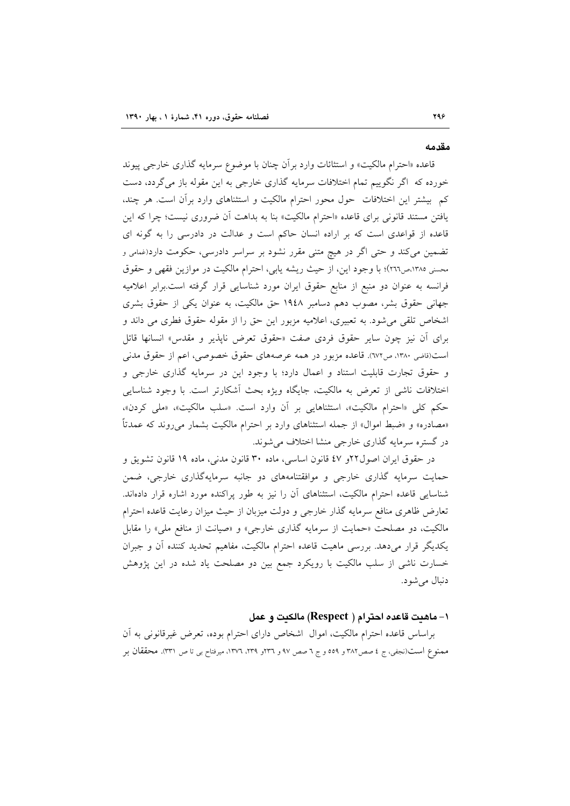#### مقدمه

قاعده «احترام مالكيت» و استثانات وارد بر آن چنان با موضوع سرمايه گذاري خارجي پيوند خورده که اگر نگوییم تمام اختلافات سرمایه گذاری خارجی به این مقوله باز میگردد، دست کم بیشتر این اختلافات حول محور احترام مالکیت و استثناهای وارد برآن است. هر چند، یافتن مستند قانونی برای قاعده «احترام مالکیت» بنا به بداهت آن ضروری نیست؛ چرا که این قاعده از قواعدی است که بر اراده انسان حاکم است و عدالت در دادرسی را به گونه ای تضمین میکند و حتی اگر در هیچ متنی مقرر نشود بر سراسر دادرسی، حکومت دارد(غمامی و محسني ١٣٨٥،ص٢٦٦)؛ با وجود اين، از حيث ريشه يابي، احترام مالكيت در موازين فقهي و حقوق فرانسه به عنوان دو منبع از منابع حقوق ايران مورد شناسايي قرار گرفته است.برابر اعلاميه جهانی حقوق بشر، مصوب دهم دسامبر ۱۹٤۸ حق مالکیت، به عنوان یکی از حقوق بشری اشخاص تلقی می شود. به تعبیری، اعلامیه مزبور این حق را از مقوله حقوق فطری می داند و برای أن نیز چون سایر حقوق فردی صفت «حقوق تعرض ناپذیر و مقدس» انسانها قائل است(قاضی ۱۳۸۰، ص۱۷۲). قاعده مزبور در همه عرصههای حقوق خصوصی، اعم از حقوق مدنی و حقوق تجارت قابلیت استناد و اعمال دارد؛ با وجود این در سرمایه گذاری خارجی و اختلافات ناشی از تعرض به مالکیت، جایگاه ویژه بحث آشکارتر است. با وجود شناسایی حکم کلی «احترام مالکیت»، استثناهایی بر آن وارد است. «سلب مالکیت»، «ملی کردن»، «مصادره» و «ضبط اموال» از جمله استثناهای وارد بر احترام مالکیت بشمار میروند که عمدتاً در گستره سرمایه گذاری خارجی منشا اختلاف میشوند.

در حقوق ايران اصول ٢٢و ٤٧ قانون اساسي، ماده ٣٠ قانون مدنى، ماده ١٩ قانون تشويق و حمایت سرمایه گذاری خارجی و موافقتنامههای دو جانبه سرمایهگذاری خارجی، ضمن شناسایی قاعده احترام مالکیت، استثناهای آن را نیز به طور پراکنده مورد اشاره قرار دادهاند. تعارض ظاهري منافع سرمايه گذار خارجي و دولت ميزبان از حيث ميزان رعايت قاعده احترام مالکیت، دو مصلحت «حمایت از سرمایه گذاری خارجی» و «صیانت از منافع ملی» را مقابل یکدیگر قرار میدهد. بررسی ماهیت قاعده احترام مالکیت، مفاهیم تحدید کننده آن و جبران خسارت ناشی از سلب مالکیت با رویکرد جمع بین دو مصلحت یاد شده در این پژوهش دنبال مي شود.

### ۱– ماهيت قاعده احترام ( Respect) مالكيت و عمل

براساس قاعده احترام مالكيت، اموال ً اشخاص داراي احترام بوده، تعرض غيرقانوني به أن مممنوع است(نجفي، ج ٤ صص٣٨٢ و ٥٥٩ و ج ٦ صص ٩٧ و ٢٣٦. ١٣٧٩، ١٣٧٦، ميرفتاح بي تا ص ٣٣١). محققان بر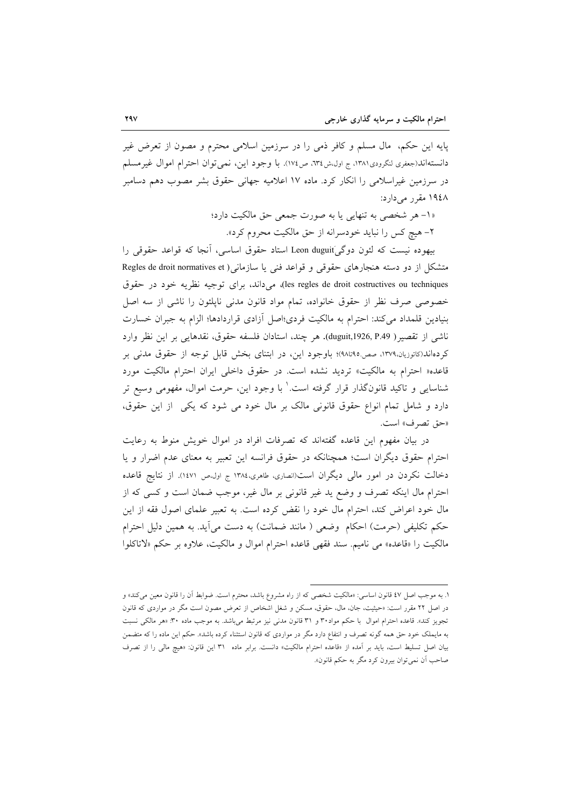پایه این حکم، مال مسلم و کافر ذمی را در سرزمین اسلامی محترم و مصون از تعرض غیر دانسته|ند(جعفري لنگرودي١٣٨١، ج اول،ش١٣٤، ص١٧٤). با وجود اين، نمي توان احترام اموال غيرمسلم در سرزمین غیراسلامی را انکار کرد. ماده ۱۷ اعلامیه جهانی حقوق بشر مصوب دهم دسامبر ۱۹٤۸ مقرر می دارد:

> «١- هر شخصي به تنهايي يا به صورت جمعي حق مالكيت دارد؛ ۲- هیچ کس را نباید خودسرانه از حق مالکیت محروم کرد».

بيهوده نيست كه لئون دوگي)Leon duguit استاد حقوق اساسي، آنجا كه قواعد حقوقي را متشکل از دو دسته هنجارهای حقوقی و قواعد فنی یا سازمانی ( Regles de droit normatives et les regles de droit costructives ou techniques)، میداند، برای توجیه نظریه خود در حقوق خصوصی صرف نظر از حقوق خانواده، تمام مواد قانون مدنی ناپلئون را ناشی از سه اصل بنیادین قلمداد می کند: احترام به مالکیت فردی؛اصل آزادی قراردادها؛ الزام به جبران خسارت ناشي از تقصير( duguit,1926, P.49). هر چند، استادان فلسفه حقوق، نقدهايي بر اين نظر وارد کردهاند(کاتوزیان،۱۳۷۹، صص.۹۵تا۹۸)؛ باوجود این، در ابتنای بخش قابل توجه از حقوق مدنی بر قاعده« احترام به مالكيت» ترديد نشده است. در حقوق داخلي ايران احترام مالكيت مورد شناسایی و تاکید قانونگذار قرار گرفته است.' با وجود این، حرمت اموال، مفهومی وسیع تر دارد و شامل تمام انواع حقوق قانونی مالک بر مال خود می شود که یکی از این حقوق، «حق تصرف» است.

در بیان مفهوم این قاعده گفتهاند که تصرفات افراد در اموال خویش منوط به رعایت احترام حقوق ديگران است؛ همچنانكه در حقوق فرانسه اين تعبير به معناي عدم اضرار و يا دخالت نکردن در امور مالی دیگران است(انصاری، طاهری،۱۳۸٤ ج اول،ص ۱٤۷۱). از نتایج قاعده احترام مال اینکه تصرف و وضع ید غیر قانونی بر مال غیر، موجب ضمان است و کسی که از مال خود اعراض کند، احترام مال خود را نقض کرده است. به تعبیر علمای اصول فقه از این حکم تکلیفی (حرمت) احکام ۖ وضعی ( مانند ضمانت) به دست می اَید. به همین دلیل احترام مالكيت را «قاعده» مي ناميم. سند فقهي قاعده احترام اموال و مالكيت، علاوه بر حكم «لاتاكلوا

١. به موجب اصل ٤٧ قانون اساسي: «مالكيت شخصي كه از راه مشروع باشد، محترم است. ضوابط أن را قانون معين ميكند» و در اصل ۲۲ مقرر است: «حیثیت، جان، مال، حقوق، مسکن و شغل اشخاص از تعرض مصون است مگر در مواردی که قانون تجویز کند». قاعده احترام اموال با حکم مواد۳۰ و ۳۱ قانون مدنی نیز مرتبط میباشد. به موجب ماده ۳۰: «هر مالکی نسبت به مایملک خود حق همه گونه تصرف و انتفاع دارد مگر در مواردی که قانون استثناء کرده باشد». حکم این ماده را که متضمن بيان اصل تسليط است، بايد بر أمده از «قاعده احترام مالكيت» دانست. برابر ماده ٣١ اين قانون: «هيچ مالي را از تصرف صاحب أن نمي توان بيرون كرد مگر به حكم قانون».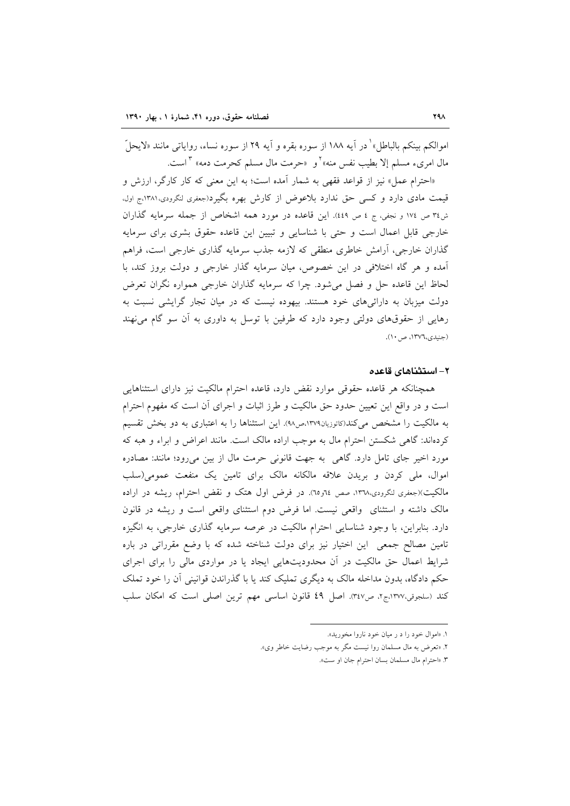اموالكم بينكم بالباطل» ْ در آيه ١٨٨ از سوره بقره و آيه ٢٩ از سوره نساء، رواياتي مانند «لايحلَّ مال امریء مسلم إلا بطیب نفس منه»<sup>۲</sup>و «حرمت مال مسلم کحرمت دمه» ۳ است.

«احترام عمل» نیز از قواعد فقهی به شمار آمده است؛ به این معنی که کار کارگر، ارزش و قیمت مادی دارد و کسی حق ندارد بلاعوض از کارش بهره بگیرد(جعفری لنگرودی،۱۳۸۱،ج اول، ش٣٤ ص ١٧٤ و نجفي، ج ٤ ص ٤٤٩). اين قاعده در مورد همه اشخاص از جمله سرمايه گذاران خارجی قابل اعمال است و حتی با شناسایی و تبیین این قاعده حقوق بشری برای سرمایه گذاران خارجی، آرامش خاطری منطقی که لازمه جذب سرمایه گذاری خارجی است، فراهم آمده و هر گاه اختلافی در این خصوص، میان سرمایه گذار خارجی و دولت بروز کند، با لحاظ این قاعده حل و فصل میشود. چرا که سرمایه گذاران خارجی همواره نگران تعرض دولت میزبان به دارائیهای خود هستند. بیهوده نیست که در میان تجار گرایشی نسبت به رهایی از حقوقهای دولتی وجود دارد که طرفین با توسل به داوری به آن سو گام می نهند (جنيدي،١٣٧٦، ص١٠).

### ۲– استثناهای قاعده

همچنانکه هر قاعده حقوقی موارد نقض دارد، قاعده احترام مالکیت نیز دارای استثناهایی است و در واقع این تعیین حدود حق مالکیت و طرز اثبات و اجرای آن است که مفهوم احترام به مالکیت را مشخص می کند(کاتوزیان۱۳۷۹،ص۹۸). این استثناها را به اعتباری به دو بخش تقسیم کردهاند: گاهی شکستن احترام مال به موجب اراده مالک است. مانند اعراض و ابراء و هبه که مورد اخیر جای تامل دارد. گاهی به جهت قانونی حرمت مال از بین می رود؛ مانند: مصادره اموال، ملَّى كردن و بريدن علاقه مالكانه مالك براى تامين يك منفعت عمومى(سلب مالکیت)(جعفری لنگرودی،۱۳۷۸، صص ٦٤و٦٥). در فرض اول هتک و نقض احترام، ریشه در اراده مالک داشته و استثنای واقعی نیست. اما فرض دوم استثنای واقعی است و ریشه در قانون دارد. بنابراین، با وجود شناسایی احترام مالکیت در عرصه سرمایه گذاری خارجی، به انگیزه تامین مصالح جمعی این اختیار نیز برای دولت شناخته شده که با وضع مقرراتی در باره شرایط اعمال حق مالکیت در آن محدودیتهایی ایجاد یا در مواردی مالی را برای اجرای حکم دادگاه، بدون مداخله مالک به دیگری تملیک کند یا با گذراندن قوانینی آن را خود تملک كند (سلجوقى،١٣٧٧.ج٢، ص٣٤٧). اصل ٤٩ قانون اساسى مهم ترين اصلى است كه امكان سلب

۱. «اموال خود را د ر ميان خود ناروا مخوريد».

۲. «تعرض به مال مسلمان روا نیست مگر به موجب رضایت خاطر وی».

٣. «احترام مال مسلمان بسان احترام جان او ست».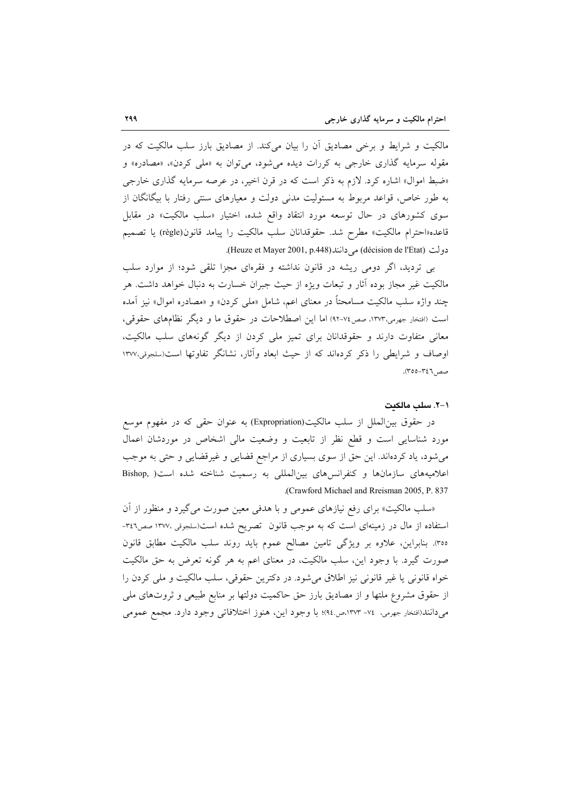مالکیت و شرایط و برخی مصادیق آن را بیان میکند. از مصادیق بارز سلب مالکیت که در مقوله سرمایه گذاری خارجی به کررات دیده میشود، میتوان به «ملی کردن»، «مصادره» و «ضبط اموال» اشاره کرد. لازم به ذکر است که در قرن اخیر، در عرصه سرمایه گذاری خارجی به طور خاص، قواعد مربوط به مسئولیت مدنی دولت و معیارهای سنتی رفتار با بیگانگان از سوی کشورهای در حال توسعه مورد انتقاد واقع شده، اختیار «سلب مالکیت» در مقابل قاعده«احترام مالكيت» مطرح شد. حقوقدانان سلب مالكيت را پيامد قانون(règle) يا تصميم دولت (décision de l'Etat) می دانند(Heuze et Mayer 2001, p.448).

بی تردید، اگر دومی ریشه در قانون نداشته و فقرهای مجزا تلقی شود؛ از موارد سلب مالکیت غیر مجاز بوده أثار و تبعات ویژه از حیث جبران خسارت به دنبال خواهد داشت. هر چند واژه سلب مالکیت مسامحتاً در معنای اعم، شامل «مل<sub>ی</sub> کردن» و «مصادره اموال» نیز آمده است (افتخار جهرمي،١٣٧٣، صص٧٤-٩٢) اما اين اصطلاحات در حقوق ما و ديگر نظامهاي حقوقي، معانی متفاوت دارند و حقوقدانان برای تمیز ملی کردن از دیگر گونههای سلب مالکیت، اوصاف و شرایطی را ذکر کردهاند که از حیث ابعاد وأثار، نشانگر تفاوتها است(سلجوقی،۱۳۷۷ صص ٣٤٦-٣٥٥).

### ١-٢. سك مالكت

در حقوق بین|لملل از سلب مالکیت(Expropriation) به عنوان حقی که در مفهوم موسع مورد شناسایی است و قطع نظر از تابعیت و وضعیت مالی اشخاص در موردشان اعمال میشود، یاد کردهاند. این حق از سوی بسیاری از مراجع قضایی و غیرقضایی و حتی به موجب اعلامیههای سازمانها و کنفرانسهای بین المللی به رسمیت شناخته شده است( Bishop, .(Crawford Michael and Rreisman 2005, P. 837

«سلب مالکیت» برای رفع نیازهای عمومی و با هدفی معین صورت می گیرد و منظور از آن استفاده از مال در زمینهای است که به موجب قانون تصریح شده است(سلجوقی ۱۳۷۷۰ صص۳٤٦-٣٥٥). بنابراين، علاوه بر ويژگي تامين مصالح عموم بايد روند سلب مالكيت مطابق قانون صورت گیرد. با وجود این، سلب مالکیت، در معنای اعم به هر گونه تعرض به حق مالکیت خواه قانونی یا غیر قانونی نیز اطلاق میشود. در دکترین حقوقی، سلب مالکیت و ملی کردن را از حقوق مشروع ملتها و از مصادیق بارز حق حاکمیت دولتها بر منابع طبیعی و ثروتهای ملی مي دانند(افتخار جهرمي، ٧٤- ١٣٧٣،ص٩٤)؛ با وجود اين، هنوز اختلافاتي وجود دارد. مجمع عمومي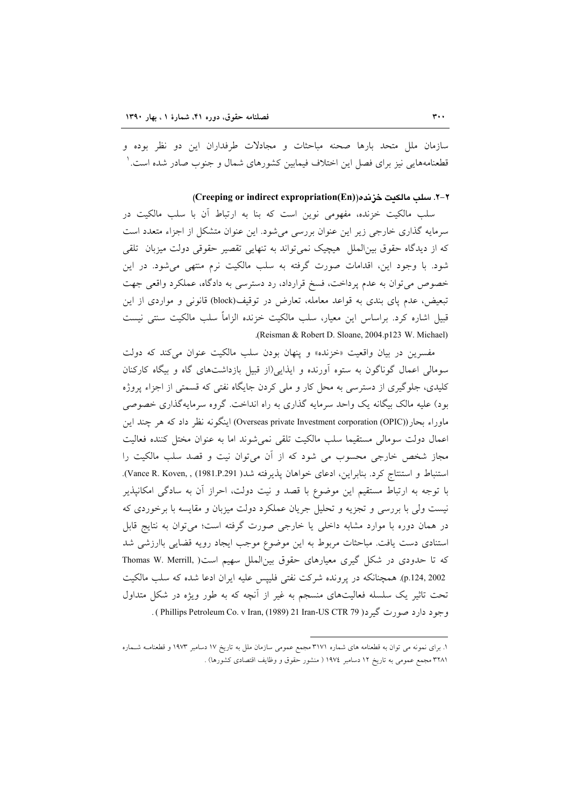سازمان ملل متحد بارها صحنه مباحثات و مجادلات طرفداران این دو نظر بوده و قطعنامههایی نیز برای فصل این اختلاف فیمابین کشورهای شمال و جنوب صادر شده است. ٰ

٢-٢. سلب مالكيت خز نده((Creeping or indirect expropriation(En)

سلب مالکیت خزنده، مفهومی نوین است که بنا به ارتباط آن با سلب مالکیت در سرمایه گذاری خارجی زیر این عنوان بررسی میشود. این عنوان متشکل از اجزاء متعدد است که از دیدگاه حقوق بین|لملل هیچیک نمی تواند به تنهایی تقصیر حقوقی دولت میزبان تلقی شود. با وجود این، اقدامات صورت گرفته به سلب مالکیت نرم منتهی میشود. در این خصوص می توان به عدم پرداخت، فسخ قرارداد، رد دسترسی به دادگاه، عملکرد واقعی جهت تبعیض، عدم یای بندی به قواعد معامله، تعارض در توقیف(block) قانونی و مواردی از این قبیل اشاره کرد. براساس این معیار، سلب مالکیت خزنده الزاماً سلب مالکیت سنتی نیست .(Reisman & Robert D. Sloane, 2004.p123 W. Michael)

مفسرين در بيان واقعيت «خزنده» و پنهان بودن سلب مالكيت عنوان مي كند كه دولت سومالی اعمال گوناگون به ستوه آورنده و ایذایی(از قبیل بازداشتهای گاه و بیگاه کارکنان کلیدی، جلوگیری از دسترسی به محل کار و ملی کردن جایگاه نفتی که قسمتی از اجزاء پروژه بود) علیه مالک بیگانه یک واحد سرمایه گذاری به راه انداخت. گروه سرمایهگذاری خصوصی ماوراء بحار (Overseas private Investment corporation (OPIC)) اینگونه نظر داد که هر چند این اعمال دولت سومالي مستقيما سلب مالكيت تلقى نمى شوند اما به عنوان مختل كننده فعاليت مجاز شخص خارجی محسوب می شود که از آن میتوان نیت و قصد سلب مالکیت را استنباط و استنتاج كرد. بنابراين، ادعاى خواهان پذيرفته شد( Vance R. Koven, , (1981.P.291). با توجه به ارتباط مستقیم این موضوع با قصد و نیت دولت، احراز آن به سادگی امکانیذیر نیست ولی با بررسی و تجزیه و تحلیل جریان عملکرد دولت میزبان و مقایسه با برخوردی که در همان دوره با موارد مشابه داخلی یا خارجی صورت گرفته است؛ میتوان به نتایج قابل استنادی دست یافت. مباحثات مربوط به این موضوع موجب ایجاد رویه قضایی باارزشی شد که تا حدودی در شکل گیری معیارهای حقوق بینالملل سهیم است( Thomas W. Merrill, p.124, 2002). همچنانکه در پرونده شرکت نفتی فلیپس علیه ایران ادعا شده که سلب مالکیت تحت تاثیر یک سلسله فعالیتهای منسجم به غیر از آنچه که به طور ویژه در شکل متداول وجود دارد صورت گيږ د( Phillips Petroleum Co. v Iran, (1989) 21 Iran-US CTR 79 ).

١. برای نمونه می توان به قطعنامه های شماره ٣١٧١ مجمع عمومی سازمان ملل به تاریخ ١٧ دسامبر ١٩٧٣ و قطعنامـه شـماره ۳۲۸۱ مجمع عمومی به تاریخ ۱۲ دسامبر ۱۹۷٤ ( منشور حقوق و وظایف اقتصادی کشورها) .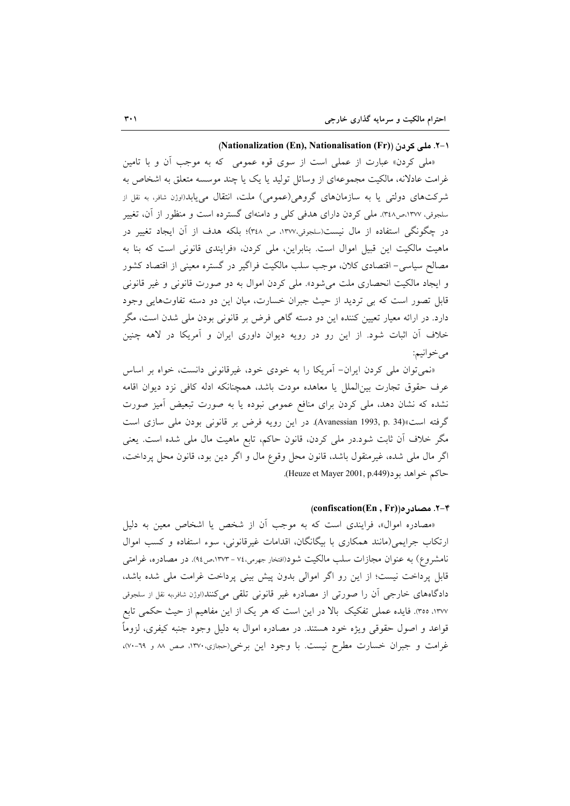### (Nationalization (En), Nationalisation (Fr)) ا-۲. ملی کردن

«ملي كردن» عبارت از عملي است از سوى قوه عمومي كه به موجب آن و با تامين غرامت عادلانه، مالکیت مجموعهای از وسائل تولید یا یک یا چند موسسه متعلق به اشخاص به شرکتهای دولتی یا به سازمانهای گروهی(عمومی) ملت، انتقال می یابد(اوژن شافر، به نقل از سلجوقی، ۱۳۷۷،ص۳٤۸). ملی کردن دارای هدفی کلی و دامنهای گسترده است و منظور از آن، تغییر در چگونگی استفاده از مال نیست(سلجوقی،۱۳۷۷، ص ۳٤۸)؛ بلکه هدف از آن ایجاد تغییر در ماهیت مالکیت این قبیل اموال است. بنابراین، ملی کردن، «فرایندی قانونی است که بنا به مصالح سیاسی- اقتصادی کلان، موجب سلب مالکیت فراگیر در گستره معینی از اقتصاد کشور و ایجاد مالکیت انحصاری ملت می شود». ملی کردن اموال به دو صورت قانونی و غیر قانونی قابل تصور است که بی تردید از حیث جبران خسارت، میان این دو دسته تفاوتهایی وجود دارد. در ارائه معیار تعیین کننده این دو دسته گاهی فرض بر قانونی بودن ملی شدن است، مگر خلاف آن اثبات شود. از این رو در رویه دیوان داوری ایران و آمریکا در لاهه چنین مي خوانيم:

«نمی توان ملی کردن ایران- اَمریکا را به خودی خود، غیرقانونی دانست، خواه بر اساس عرف حقوق تجارت بين|لملل يا معاهده مودت باشد، همچنانكه ادله كافي نزد ديوان اقامه نشده که نشان دهد، ملی کردن برای منافع عمومی نبوده یا به صورت تبعیض آمیز صورت گرفته است»(Avanessian 1993, p. 34). در این رویه فرض بر قانونی بودن ملی سازی است مگر خلاف اّن ثابت شود.در ملّی کردن، قانون حاکم، تابع ماهیت مال ملّی شده است. یعنی اگر مال ملي شده، غيرمنقول باشد، قانون محل وقوع مال و اگر دين بود، قانون محل پرداخت، حاكم خواهد بود(Heuze et Mayer 2001, p.449).

# (confiscation(En, Fr))، مصباد, ه/(confiscation)

«مصادره اموال»، فرایندی است که به موجب آن از شخص یا اشخاص معین به دلیل ارتکاب جرایمی(مانند همکاری با بیگانگان، اقدامات غیرقانونی، سوء استفاده و کسب اموال نامشروع) به عنوان مجازات سلب مالکیت شود(افتخار جهرمی،۷۷ – ۱۳۷۳،ص۹۶). در مصادره، غرامتی قابل پرداخت نیست؛ از این رو اگر اموالی بدون پیش بینی پرداخت غرامت ملی شده باشد، دادگاههای خارجی ان را صورتی از مصادره غیر قانونی تلقی میکنند(اوژن شافر،به نقل از سلجوقی ١٣٧٧، ٣٥٥). فايده عملي تفكيك بالا در اين است كه هر يك از اين مفاهيم از حيث حكمي تابع قواعد و اصول حقوقی ویژه خود هستند. در مصادره اموال به دلیل وجود جنبه کیفری، لزوماً غرامت و جبران خسارت مطرح نیست. با وجود این برخی(حجازی،۱۳۷۰، صص ۸۸ و ۶۹-۷۰)،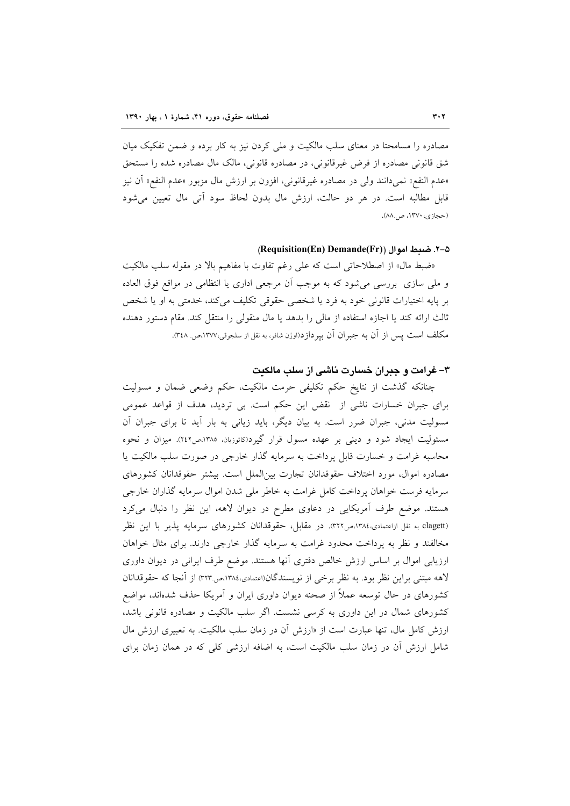مصادره را مسامحتا در معنای سلب مالکیت و ملی کردن نیز به کار برده و ضمن تفکیک میان شق قانونی مصادره از فرض غیرقانونی، در مصادره قانونی، مالک مال مصادره شده را مستحق «عدم النفع» نميدانند ولي در مصادره غيرقانوني، افزون بر ارزش مال مزبور «عدم النفع» أن نيز قابل مطالبه است. در هر دو حالت، ارزش مال بدون لحاظ سود آتی مال تعیین می شود (حجازي، ١٣٧٠، ص٨٨).

### 8-۲. ضبط اموال (Requisition(En) Demande(Fr))

«ضبط مال» از اصطلاحاتی است که علی رغم تفاوت با مفاهیم بالا در مقوله سلب مالکیت و ملي سازي بررسي مي شود كه به موجب أن مرجعي اداري يا انتظامي در مواقع فوق العاده بر پايه اختيارات قانوني خود به فرد يا شخصي حقوقي تكليف مي كند، خدمتي به او يا شخص ثالث ارائه كند يا اجازه استفاده از مالي را بدهد يا مال منقولي را منتقل كند. مقام دستور دهنده مكلف است يس از آن به جبران آن بير دازد(اوژن شافر، به نقل از سلجوقي،١٣٧٧،ص. ٣٤٨).

## ۳– غرامت و جبران خسارت ناشی از سلب مالکیت

چنانکه گذشت از نتایخ حکم تکلیفی حرمت مالکیت، حکم وضعی ضمان و مسولیت برای جبران خسارات ناشی از نقض این حکم است. بی تردید، هدف از قواعد عمومی مسولیت مدنی، جبران ضرر است. به بیان دیگر، باید زیانی به بار آید تا برای جبران آن مسئولیت ایجاد شود و دینی بر عهده مسول قرار گیرد(کاتوزیان، ۱۳۸۵،ص۲٤۲). میزان و نحوه محاسبه غرامت و خسارت قابل پرداخت به سرمایه گذار خارجی در صورت سلب مالکیت یا مصادره اموال، مورد اختلاف حقوقدانان تجارت بين الملل است. بيشتر حقوقدانان كشورهاى سرمايه فرست خواهان پرداخت كامل غرامت به خاطر ملي شدن اموال سرمايه گذاران خارجي هستند. موضع طرف آمریکایی در دعاوی مطرح در دیوان لاهه، این نظر را دنبال میکرد clagett) به نقل ازاعتمادی،۱۳۸٤،ص۳۲۲. در مقابل، حقوقدانان کشورهای سرمایه پذیر با این نظر مخالفند و نظر به پرداخت محدود غرامت به سرمایه گذار خارجی دارند. برای مثال خواهان ارزیابی اموال بر اساس ارزش خالص دفتری آنها هستند. موضع طرف ایرانی در دیوان داوری لاهه مبتني براين نظر بود. به نظر برخي از نويسندگان(اعتمادي،١٣٨٤،ص٣٢٣) از آنجا كه حقوقدانان کشورهای در حال توسعه عملاً از صحنه دیوان داوری ایران و آمریکا حذف شدهاند، مواضع کشورهای شمال در این داوری به کرسی نشست. اگر سلب مالکیت و مصادره قانونی باشد، ارزش کامل مال، تنها عبارت است از «ارزش آن در زمان سلب مالکیت. به تعبیری ارزش مال شامل ارزش آن در زمان سلب مالکیت است، به اضافه ارزشی کلی که در همان زمان برای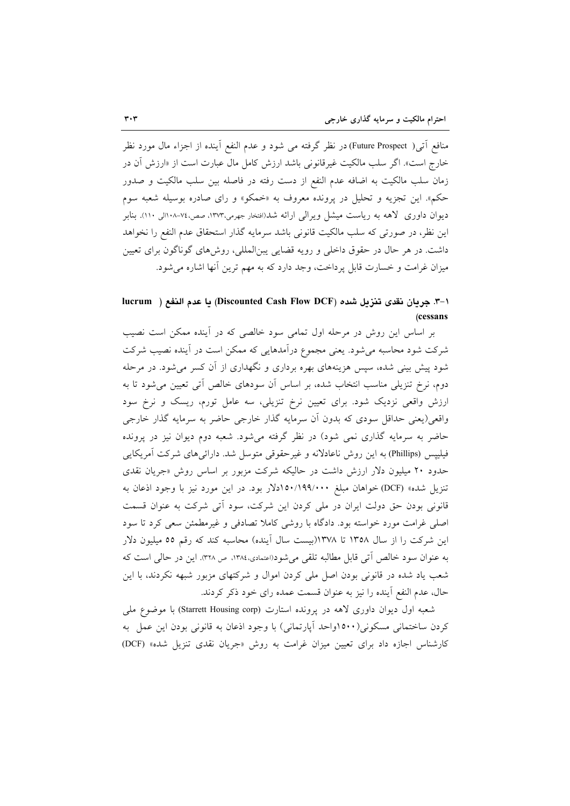منافع أتبي( Future Prospect) در نظر گرفته مي شود و عدم النفع أينده از اجزاء مال مورد نظر خارج است». اگر سلب مالکیت غیرقانونی باشد ارزش کامل مال عبارت است از «ارزش آن در زمان سلب مالكيت به اضافه عدم النفع از دست رفته در فاصله بين سلب مالكيت و صدور حکم». این تجزیه و تحلیل در پرونده معروف به «خمکو» و رای صادره بوسیله شعبه سوم دیوان داوری کاهه به ریاست میشل ویرالی ارائه شد(افتخار جهرمی،۱۳۷۳، صص،۷۶-۱۰۸الی ۱۱۰). بنابر این نظر، در صورتی که سلب مالکیت قانونی باشد سرمایه گذار استحقاق عدم النفع را نخواهد داشت. در هر حال در حقوق داخلی و رویه قضایی پبنالمللی، روشهای گوناگون برای تعیین ميزان غرامت و خسارت قابل پرداخت، وجد دارد كه به مهم ترين آنها اشاره مي شود.

# ا-٣. جريان نقدى تنزيل شده (Discounted Cash Flow DCF) يا عدم النفع ( lucrum (cessans

بر اساس این روش در مرحله اول تمامی سود خالصی که در آینده ممکن است نصیب شرکت شود محاسبه میشود. یعنی مجموع درآمدهایی که ممکن است در آینده نصیب شرکت شود پیش بینی شده، سپس هزینههای بهره برداری و نگهداری از آن کسر می شود. در مرحله دوم، نرخ تنزیلی مناسب انتخاب شده، بر اساس آن سودهای خالص آتی تعیین می شود تا به ارزش واقعی نزدیک شود. برای تعیین نرخ تنزیلی، سه عامل تورم، ریسک و نرخ سود واقعی(یعنی حداقل سودی که بدون آن سرمایه گذار خارجی حاضر به سرمایه گذار خارجی حاضر به سرمایه گذاری نمی شود) در نظر گرفته می شود. شعبه دوم دیوان نیز در پرونده فیلیپس (Phillips) به این روش ناعادلانه و غیرحقوقی متوسل شد. دارائیهای شرکت آمریکایی حدود ۲۰ میلیون دلار ارزش داشت در حالیکه شرکت مزبور بر اساس روش «جریان نقدی تنزیل شده» (DCF) خواهان مبلغ ۱۵۰/۱۹۹/۰۰۰دلار بود. در این مورد نیز با وجود اذعان به قانونی بودن حق دولت ایران در ملی کردن این شرکت، سود آتی شرکت به عنوان قسمت اصلی غرامت مورد خواسته بود. دادگاه با روشی کاملا تصادفی و غیرمطمئن سعی کرد تا سود این شرکت را از سال ۱۳۵۸ تا ۱۳۷۸(بیست سال آینده) محاسبه کند که رقم ٥٥ میلیون دلار به عنوان سود خالص آتی قابل مطالبه تلقی میشود(اعتمادی،۱۳۸٤، ص ۳۲۸. این در حالی است که شعب یاد شده در قانونی بودن اصل ملی کردن اموال و شرکتهای مزبور شبهه نکردند، با این حال، عدم النفع آینده را نیز به عنوان قسمت عمده رای خود ذکر کردند.

شعبه اول دیوان داوری لاهه در پرونده استارت (Starrett Housing corp) با موضوع ملی کردن ساختمانی مسکونی(۱۵۰۰واحد آپارتمانی) با وجود اذعان به قانونی بودن این عمل به کارشناس اجازه داد برای تعیین میزان غرامت به روش «جریان نقدی تنزیل شده» (DCF)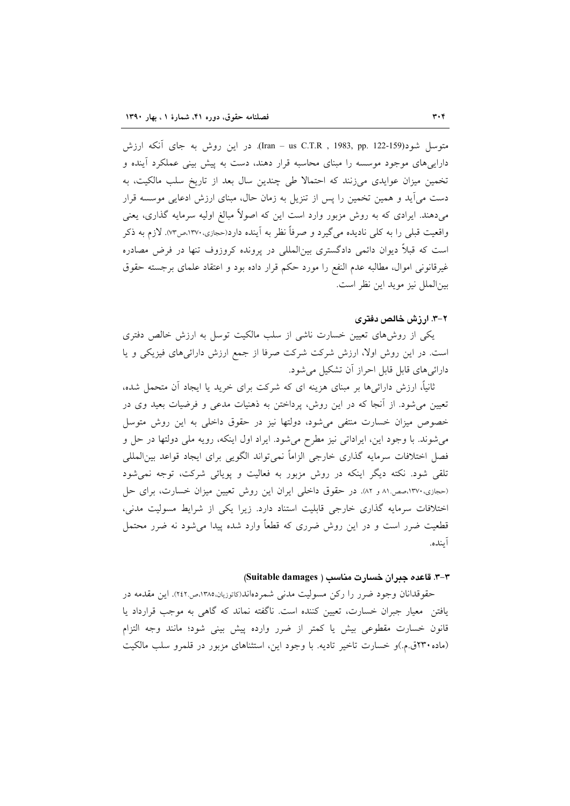متوسل شود(159-122 Iran – us C.T.R , 1983, pp. 122- در این روش به جای آنکه ارزش داراییهای موجود موسسه را مبنای محاسبه قرار دهند، دست به پیش بینی عملکرد آینده و تخمین میزان عوایدی میزنند که احتمالا طی چندین سال بعد از تاریخ سلب مالکیت، به دست می آید و همین تخمین را پس از تنزیل به زمان حال، مبنای ارزش ادعایی موسسه قرار میدهند. ایرادی که به روش مزبور وارد است این که اصولاً مبالغ اولیه سرمایه گذاری، یعنی واقعیت قبلی را به کلی نادیده میگیرد و صرفاً نظر به آینده دارد(حجازی،۱۳۷۰،ص۷۳). لازم به ذکر است که قبلاً دیوان دائمی دادگستری بین|لمللی در پرونده کروزوف تنها در فرض مصادره غیرقانونی اموال، مطالبه عدم النفع را مورد حکم قرار داده بود و اعتقاد علمای برجسته حقوق بين|لملل نيز مويد اين نظر است.

# ۲–۳. ارزش خالص دفتری

یکی از روش۵های تعیین خسارت ناشی از سلب مالکیت توسل به ارزش خالص دفتری است. در این روش اولا، ارزش شرکت شرکت صرفا از جمع ارزش دارائیهای فیزیکی و یا دارائی های قابل قابل احراز آن تشکیل می شود.

ثانیاً، ارزش دارائیها بر مبنای هزینه ای که شرکت برای خرید یا ایجاد آن متحمل شده، تعیین می شود. از آنجا که در این روش، پرداختن به ذهنیات مدعی و فرضیات بعید وی در خصوص میزان خسارت منتفی می شود، دولتها نیز در حقوق داخلی به این روش متوسل می شوند. با وجود این، ایراداتی نیز مطرح می شود. ایراد اول اینکه، رویه ملی دولتها در حل و فصل اختلافات سرمايه گذاري خارجي الزاماً نمي تواند الگويي براي ايجاد قواعد بين المللي تلقی شود. نکته دیگر اینکه در روش مزبور به فعالیت و پویائی شرکت، توجه نمیشود (حجازی، ١٣٧٠،صص ٨١ و ٨٢). در حقوق داخلي ايران اين روش تعيين ميزان خسارت، براى حل اختلافات سرمایه گذاری خارجی قابلیت استناد دارد. زیرا یکی از شرایط مسولیت مدنی، قطعیت ضرر است و در این روش ضرری که قطعاً وارد شده پیدا میشود نه ضرر محتمل آينده.

### ٣-٣. قاعده جبران خسارت مناسب ( Suitable damages)

حقوقدانان وجود ضرر را رکن مسولیت مدنی شمردهاند(کاتوریان،۱۳۸۵،ص۲٤۲). این مقدمه در یافتن معیار جبران خسارت، تعیین کننده است. ناگفته نماند که گاهی به موجب قرارداد یا قانون خسارت مقطوعی بیش یا کمتر از ضرر وارده پیش بینی شود؛ مانند وجه التزام (ماده ۲۳۰ق.م.)و خسارت تاخیر تادیه. با وجود این، استثناهای مزبور در قلمرو سلب مالکیت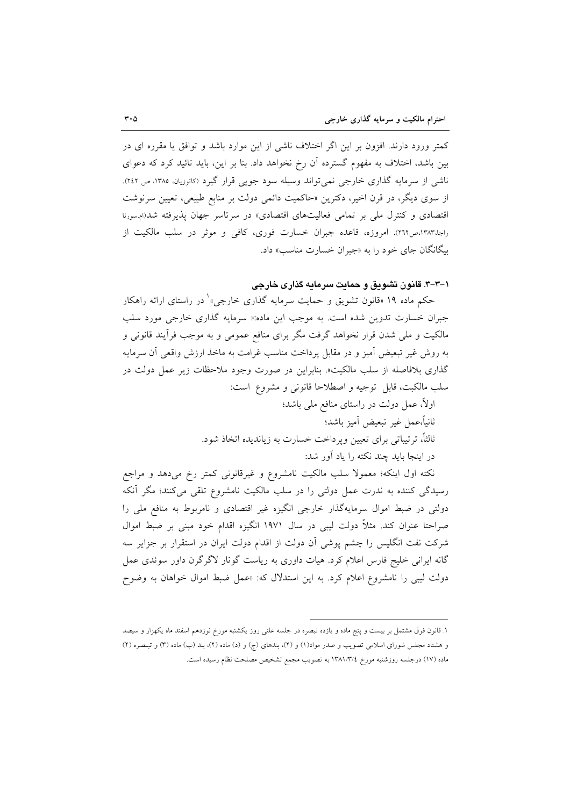کمتر ورود دارند. افزون بر این اگر اختلاف ناشی از این موارد باشد و توافق یا مقرره ای در بین باشد، اختلاف به مفهوم گسترده آن رخ نخواهد داد. بنا بر این، باید تائید کرد که دعوای ناشی از سرمایه گذاری خارجی نمیتواند وسیله سود جویی قرار گیرد (کاتوزیان، ۱۳۸۵، ص ۲٤۲). از سوی دیگر، در قرن اخیر، دکترین «حاکمیت دائمی دولت بر منابع طبیعی، تعیین سرنوشت اقتصادی و کنترل مل<sub>ی</sub> بر تمامی فعالیتهای اقتصادی» در سرتاسر جهان پذیرفته شد(ام سورنا راجا،۱۳۸۳،ص۲۲۲). امروزه، قاعده جبران خسارت فوري، كافي و موثر در سلب مالكيت از بیگانگان جای خود را به «جبران خسارت مناسب» داد.

۱–۳–۳. قانون تشویق و حمایت سرمایه گذاری خارجی

حکم ماده ۱۹ «قانون تشویق و حمایت سرمایه گذاری خارجی»<sup>۱</sup> در راستای ارائه راهکار جبران خسارت تدوین شده است. به موجب این ماده:« سرمایه گذاری خارجی مورد سلب مالکیت و ملی شدن قرار نخواهد گرفت مگر برای منافع عمومی و به موجب فرآیند قانونی و به روش غیر تبعیض آمیز و در مقابل پرداخت مناسب غرامت به ماخذ ارزش واقعی آن سرمایه گذاری بلافاصله از سلب مالکیت». بنابراین در صورت وجود ملاحظات زیر عمل دولت در سلب مالكبت، قابل توجيه و اصطلاحا قانوني و مشروع است: اولاً، عمل دولت در راستای منافع ملی باشد؛ ثانياً،عمل غير تبعيض أميز باشد؛ ثالثاً، ترتیباتی برای تعیین ویرداخت خسارت به زیاندیده اتخاذ شود. در اینجا باید چند نکته را یاد آور شد:

نکته اول اینکه؛ معمولا سلب مالکیت نامشروع و غیرقانونی کمتر رخ میدهد و مراجع رسیدگی کننده به ندرت عمل دولتی را در سلب مالکیت نامشروع تلقی میکنند؛ مگر آنکه دولتی در ضبط اموال سرمایهگذار خارجی انگیزه غیر اقتصادی و نامربوط به منافع ملی را صراحتا عنوان کند. مثلاً دولت لیبی در سال ۱۹۷۱ انگیزه اقدام خود مبنی بر ضبط اموال شرکت نفت انگلیس را چشم پوشی آن دولت از اقدام دولت ایران در استقرار بر جزایر سه گانه ایرانی خلیج فارس اعلام کرد. هیات داوری به ریاست گونار لاگرگرن داور سوئدی عمل دولت لیبی را نامشروع اعلام کرد. به این استدلال که: «عمل ضبط اموال خواهان به وضوح

۱. قانون فوق مشتمل بر بیست و پنج ماده و یازده تبصره در جلسه علنی روز یکشنبه مورخ نوزدهم اسفند ماه یکهزار و سیصد و هشتاد مجلس شورای اسلامی تصویب و صدر مواد(۱) و (۲)، بندهای (ج) و (د) ماده (۲)، بند (ب) ماده (۳) و تبصره (۲) ماده (١٧) درجلسه روزشنبه مورخ ١٣٨١/٣/٤ به تصويب مجمع تشخيص مصلحت نظام رسيده است.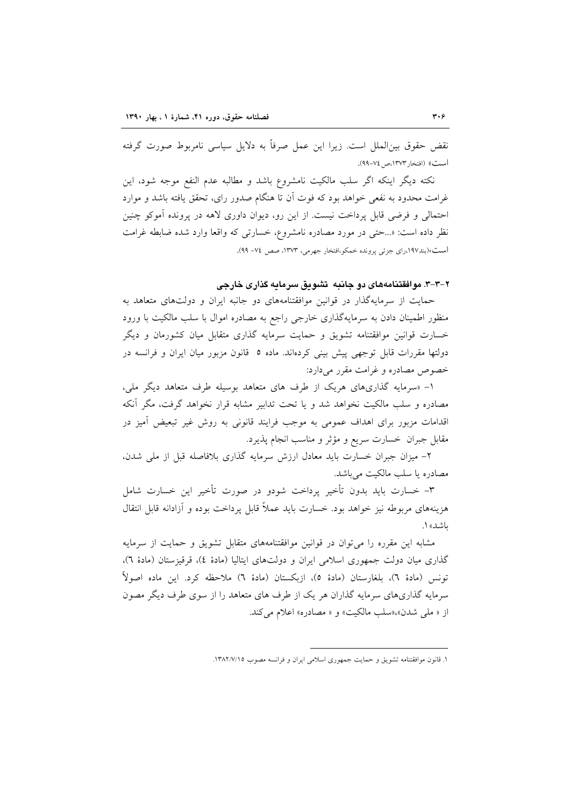نقض حقوق بین|لملل است. زیرا این عمل صرفاً به دلایل سیاسی نامربوط صورت گرفته أست)) (افتخار ١٣٧٣، ص ٧٤-٩٩).

نکته دیگر اینکه اگر سلب مالکیت نامشروع باشد و مطالبه عدم النفع موجه شود، این غرامت محدود به نفعی خواهد بود که فوت آن تا هنگام صدور رای، تحقق یافته باشد و موارد احتمالی و فرضی قابل پرداخت نیست. از این رو، دیوان داوری لاهه در پرونده آموکو چنین نظر داده است: «...حتى در مورد مصادره نامشروع، خسارتى كه واقعا وارد شده ضابطه غرامت است»(بند١٩٧،راي جزئي پرونده خمکو،افتخار جهرمي، ١٣٧٣، صص ٧٤- ٩٩).

۲-۳-۳. موافقتنامههای دو جانبه تشویق سرمایه گذاری خارجی

حمایت از سرمایهگذار در قوانین موافقتنامههای دو جانبه ایران و دولتهای متعاهد به منظور اطمینان دادن به سرمایهگذاری خارجی راجع به مصادره اموال با سلب مالکیت با ورود خسارت قوانین موافقتنامه تشویق و حمایت سرمایه گذاری متقابل میان کشورمان و دیگر دولتها مقررات قابل توجهي پيش بيني كردهاند. ماده ٥ قانون مزبور ميان ايران و فرانسه در خصوص مصادره و غرامت مقرر میدارد:

۱- «سرمایه گذاریهای هریک از طرف های متعاهد بوسیله طرف متعاهد دیگر ملی، مصادره و سلب مالکیت نخواهد شد و یا تحت تدابیر مشابه قرار نخواهد گرفت، مگر آنکه اقدامات مزبور برای اهداف عمومی به موجب فرایند قانونی به روش غیر تبعیض أمیز در مقابل جبران خسارت سريع و مؤثر و مناسب انجام يذيرد.

۲- میزان جبران خسارت باید معادل ارزش سرمایه گذاری بلافاصله قبل از ملی شدن، مصادره يا سلب مالكيت مي باشد.

٣- خسارت بايد بدون تأخير يرداخت شودو در صورت تأخير اين خسارت شامل هزینههای مربوطه نیز خواهد بود. خسارت باید عملاً قابل پرداخت بوده و آزادانه قابل انتقال باشد» ۱.

مشابه این مقرره را می توان در قوانین موافقتنامههای متقابل تشویق و حمایت از سرمایه گذاری میان دولت جمهوری اسلامی ایران و دولتهای ایتالیا (مادهٔ ٤)، قرقیزستان (مادهٔ ٦)، تونس (مادة ٦)، بلغارستان (مادة ٥)، ازبكستان (مادة ٦) ملاحظه كرد. اين ماده اصولاً ـ سرمایه گذاریهای سرمایه گذاران هر یک از طرف های متعاهد را از سوی طرف دیگر مصون از « ملي شدن»،«سلب مالكيت» و « مصادره» اعلام مي كند.

١. قانون موافقتنامه تشويق و حمايت جمهوري اسلامي ايران و فرانسه مصوب ١٣٨٢/٧/١٥.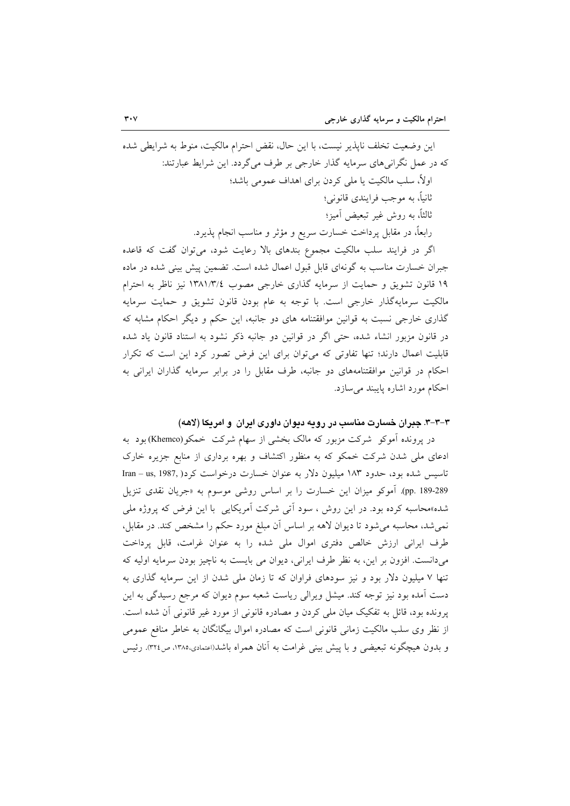اين وضعيت تخلف ناپذير نيست، با اين حال، نقض احترام مالكيت، منوط به شرايطي شده که در عمل نگرانی های سرمایه گذار خارجی بر طرف می گردد. این شرایط عبارتند: اولاً، سلب مالکیت یا ملی کردن برای اهداف عمومی باشد؛ ثانياً، به موجب فرايندي قانوني؛ ثالثاً، به روش غیر تبعیض آمیز؛ رابعاً، در مقابل پرداخت خسارت سریع و مؤثر و مناسب انجام پذیرد. اگر در فرایند سلب مالکیت مجموع بندهای بالا رعایت شود، می توان گفت که قاعده جبران خسارت مناسب به گونهای قابل قبول اعمال شده است. تضمین پیش بینی شده در ماده ١٩ قانون تشويق و حمايت از سرمايه گذارى خارجى مصوب ١٣٨١/٣/٤ نيز ناظر به احترام مالکیت سرمایهگذار خارجی است. با توجه به عام بودن قانون تشویق و حمایت سرمایه گذاری خارجی نسبت به قوانین موافقتنامه های دو جانبه، این حکم و دیگر احکام مشابه که در قانون مزبور انشاء شده، حتى اگر در قوانين دو جانبه ذكر نشود به استناد قانون ياد شده قابلیت اعمال دارند؛ تنها تفاوتی که میتوان برای این فرض تصور کرد این است که تکرار احکام در قوانین موافقتنامههای دو جانبه، طرف مقابل را در برابر سرمایه گذاران ایرانی به احکام مورد اشاره پایبند می سازد.

۳–۳–۳. جبران خسارت مناسب در رویه دیوان داوری ایران و امریکا (لاهه)

در پرونده آموکو ً شرکت مزبور که مالک بخشی از سهام شرکت ً خمکو(Khemco)بود به ادعای ملی شدن شرکت خمکو که به منظور اکتشاف و بهره برداری از منابع جزیره خارک تاسیس شده بود، حدود ۱۸۳ میلیون دلار به عنوان خسارت درخواست کرد( Iran – us, 1987, ) pp. 189-289). آموکو میزان این خسارت را بر اساس روشی موسوم به «جریان نقدی تنزیل شده»محاسبه کرده بود. در این روش ، سود اَتی شرکت اَمریکایی ِ با این فرض که پروژه ملی نمی شد، محاسبه می شود تا دیوان لاهه بر اساس آن مبلغ مورد حکم را مشخص کند. در مقابل، طرف ایرانی ارزش خالص دفتری اموال ملی شده را به عنوان غرامت، قابل پرداخت میدانست. افزون بر این، به نظر طرف ایرانی، دیوان می بایست به ناچیز بودن سرمایه اولیه که تنها ۷ میلیون دلار بود و نیز سودهای فراوان که تا زمان ملی شدن از این سرمایه گذاری به دست آمده بود نیز توجه کند. میشل ویرالی ریاست شعبه سوم دیوان که مرجع رسیدگی به این پرونده بود، قائل به تفکیک میان ملی کردن و مصادره قانونی از مورد غیر قانونی آن شده است. از نظر وی سلب مالکیت زمانی قانونی است که مصادره اموال بیگانگان به خاطر منافع عمومی و بدون هیچگونه تبعیضی و با پیش بینی غرامت به آنان همراه باشد(اعتمادی،۱۳۸۵ ص۳۲٤). رئیس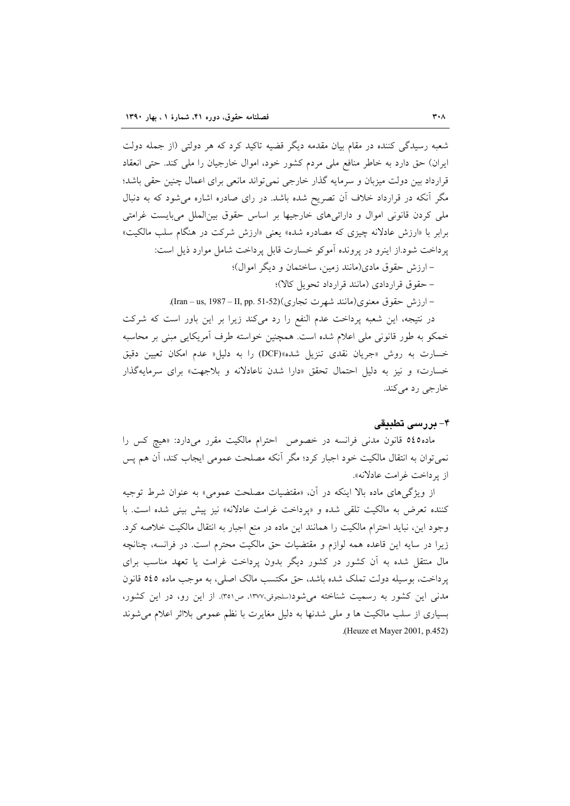شعبه رسیدگی کننده در مقام بیان مقدمه دیگر قضیه تاکید کرد که هر دولتی (از جمله دولت ایران) حق دارد به خاطر منافع ملی مردم کشور خود، اموال خارجیان را ملی کند. حتی انعقاد قرارداد بین دولت میزبان و سرمایه گذار خارجی نمی تواند مانعی برای اعمال چنین حقی باشد؛ مگر آنکه در قرارداد خلاف آن تصریح شده باشد. در رای صادره اشاره میشود که به دنبال ملي كردن قانوني اموال و دارائي هاي خارجيها بر اساس حقوق بين|لملل مي!يست غرامتي برابر با «ارزش عادلانه چیزی که مصادره شده» یعنی «ارزش شرکت در هنگام سلب مالکیت» پرداخت شود.از اینرو در پرونده آموکو خسارت قابل پرداخت شامل موارد ذیل است:

– ارزش حقوق مادي(مانند زمين، ساختمان و ديگر اموال)؛

– حقوق قراردادی (مانند قرارداد تحویل کالا)؛

– ارزش حقوق معنوى(مانند شهرت تجارى)(Iran – us, 1987 – II, pp. 51-52).

در نتيجه، اين شعبه يرداخت عدم النفع را رد مي كند زيرا بر اين باور است كه شركت خمکو به طور قانونی ملی اعلام شده است. همچنین خواسته طرف آمریکایی مبنی بر محاسبه خسارت به روش «جريان نقدى تنزيل شده»(DCF) را به دليل« عدم امكان تعيين دقيق خسارت» و نیز به دلیل احتمال تحقق «دارا شدن ناعادلانه و بلاجهت» برای سرمایهگذار خارجي رد مي کند.

## ۴- بررسی تطبیقی

ماده0٤٥ قانون مدنی فرانسه در خصوص احترام مالکیت مقرر میدارد: «هیچ کس را نمي توان به انتقال مالكيت خود اجبار كرد؛ مگر آنكه مصلحت عمومي ايجاب كند، أن هم پس از يرداخت غرامت عادلانه».

از ویژگیهای ماده بالا اینکه در آن، «مقتضیات مصلحت عمومی» به عنوان شرط توجیه کننده تعرض به مالکیت تلقی شده و «پرداخت غرامت عادلانه» نیز پیش بینی شده است. با وجود این، نباید احترام مالکیت را همانند این ماده در منع اجبار به انتقال مالکیت خلاصه کرد. زيرا در سايه اين قاعده همه لوازم و مقتضيات حق مالكيت محترم است. در فرانسه، چنانچه مال منتقل شده به آن کشور در کشور دیگر بدون پرداخت غرامت یا تعهد مناسب برای پرداخت، بوسیله دولت تملک شده باشد، حق مکتسب مالک اصلی، به موجب ماده ٥٤٥ قانون مدنی این کشور به رسمیت شناخته می شود(سلجوقی،۱۳۷۷، ص۳۵۱). از این رو، در این کشور، بسیاری از سلب مالکیت ها و ملی شدنها به دلیل مغایرت با نظم عمومی بلااثر اعلام می شوند (Heuze et Mayer 2001, p.452).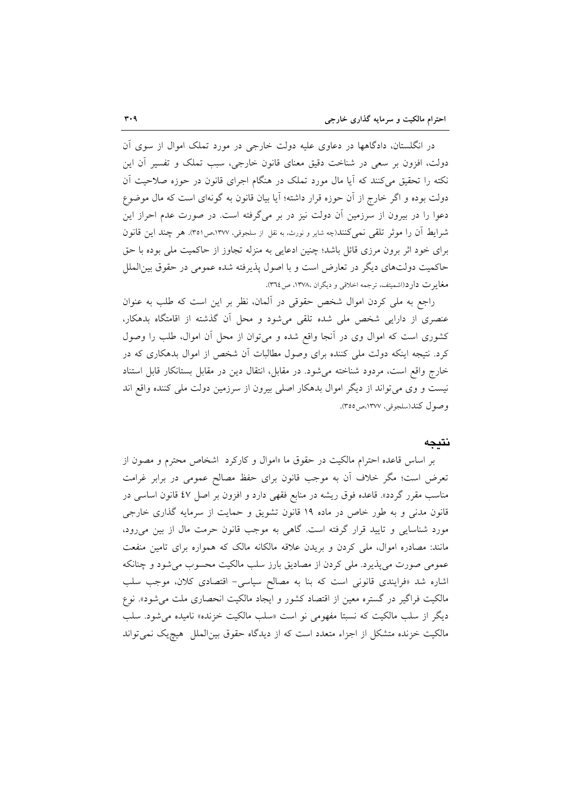در انگلستان، دادگاهها در دعاوی علیه دولت خارجی در مورد تملک اموال از سوی اَن دولت، افزون بر سعی در شناخت دقیق معنای قانون خارجی، سبب تملک و تفسیر آن این نکته را تحقیق میکنند که آیا مال مورد تملک در هنگام اجرای قانون در حوزه صلاحیت آن دولت بوده و اگر خارج از آن حوزه قرار داشته؛ آیا بیان قانون به گونهای است که مال موضوع دعوا را در بیرون از سرزمین آن دولت نیز در بر میگرفته است. در صورت عدم احراز این شرايط آن را موثر تلقى نمى كنند(چه شاير و نورث، به نقل از سلجوقى، ١٣٧٧،ص١٣٥١. هر چند اين قانون برای خود اثر برون مرزی قائل باشد؛ چنین ادعایی به منزله تجاوز از حاکمیت ملی بوده با حق حاکمیت دولتهای دیگر در تعارض است و با اصول پذیرفته شده عمومی در حقوق بین|لملل مغايرت دارد(اشميتف، ترجمه اخلاقي و ديگران ،١٣٧٨، ص٣٦٤.

راجع به ملي كردن اموال شخص حقوقي در آلمان، نظر بر اين است كه طلب به عنوان عنصری از دارایی شخص ملی شده تلقی می شود و محل آن گذشته از اقامتگاه بدهکار، کشوری است که اموال وی در أنجا واقع شده و میتوان از محل أن اموال، طلب را وصول کرد. نتیجه اینکه دولت ملی کننده برای وصول مطالبات آن شخص از اموال بدهکاری که در خارج واقع است، مردود شناخته می شود. در مقابل، انتقال دین در مقابل بستانکار قابل استناد نیست و وی می تواند از دیگر اموال بدهکار اصلی بیرون از سرزمین دولت ملی کننده واقع اند وصول كند(سلجوقى، ١٣٧٧،ص٥٥).

### نتىحە

بر اساس قاعده احترام مالکیت در حقوق ما «اموال و کارکرد اشخاص محترم و مصون از تعرض است؛ مگر خلاف آن به موجب قانون برای حفظ مصالح عمومی در برابر غرامت مناسب مقرر گردد». قاعده فوق ریشه در منابع فقهی دارد و افزون بر اصل ٤٧ قانون اساسی در قانون مدنی و به طور خاص در ماده ۱۹ قانون تشویق و حمایت از سرمایه گذاری خارجی مورد شناسایی و تایید قرار گرفته است. گاهی به موجب قانون حرمت مال از بین می رود، مانند: مصادره اموال، ملَّى كردن و بريدن علاقه مالكانه مالک که همواره براي تامين منفعت عمومی صورت میپذیرد. ملی کردن از مصادیق بارز سلب مالکیت محسوب میشود و چنانکه اشاره شد «فرایندی قانونی است که بنا به مصالح سیاسی- اقتصادی کلان، موجب سلب مالکیت فراگیر در گستره معین از اقتصاد کشور و ایجاد مالکیت انحصاری ملت می شود». نوع ديگر از سلب مالكيت كه نسبتا مفهومي نو است «سلب مالكيت خزنده» ناميده مي شود. سلب مالکیت خزنده متشکل از اجزاء متعدد است که از دیدگاه حقوق بین الملل هیچیک نمی تواند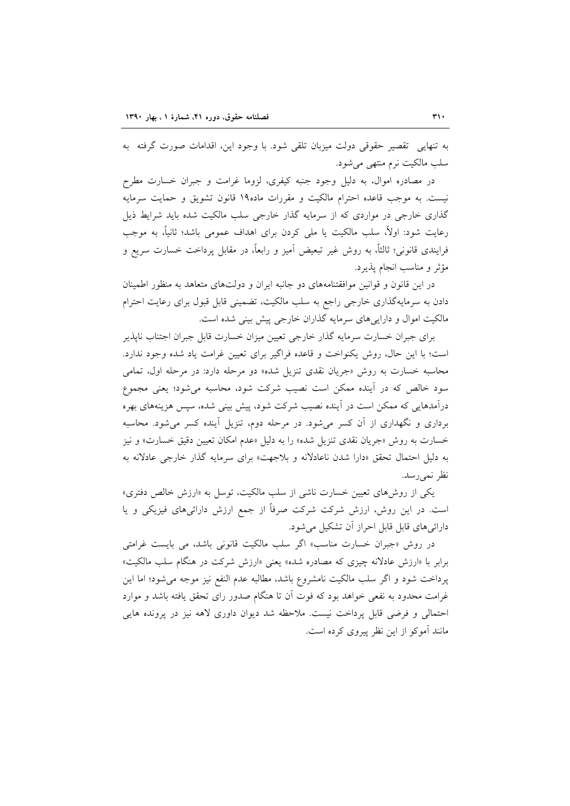به تنهایی تقصیر حقوقی دولت میزبان تلقی شود. با وجود این، اقدامات صورت گرفته به سلب مالکیت نرم منتھی می شود.

در مصادره اموال، به دلیل وجود جنبه کیفری، لزوما غرامت و جبران خسارت مطرح نیست. به موجب قاعده احترام مالکیت و مقررات ماده۱۹ قانون تشویق و حمایت سرمایه گذاری خارجی در مواردی که از سرمایه گذار خارجی سلب مالکیت شده باید شرایط ذیل رعایت شود: اولاً، سلب مالکیت یا ملی کردن برای اهداف عمومی باشد؛ ثانیاً، به موجب فرایندی قانونی؛ ثالثاً، به روش غیر تبعیض آمیز و رابعاً، در مقابل پرداخت خسارت سریع و مؤثر و مناسب انجام يذيرد.

در این قانون و قوانین موافقتنامههای دو جانبه ایران و دولتهای متعاهد به منظور اطمینان دادن به سرمایهگذاری خارجی راجع به سلب مالکیت، تضمینی قابل قبول برای رعایت احترام مالکیت اموال و دارایی های سرمایه گذاران خارجی پیش بینی شده است.

برای جبران خسارت سرمایه گذار خارجی تعیین میزان خسارت قابل جبران اجتناب ناپذیر است؛ با این حال، روش یکنواخت و قاعده فراگیر برای تعیین غرامت یاد شده وجود ندارد. محاسبه خسارت به روش «جریان نقدی تنزیل شده» دو مرحله دارد: در مرحله اول، تمامی سود خالص که در آینده ممکن است نصیب شرکت شود، محاسبه می شود؛ یعنی مجموع درآمدهایی که ممکن است در آینده نصیب شرکت شود، پیش بینی شده، سپس هزینههای بهره برداری و نگهداری از آن کسر میشود. در مرحله دوم، تنزیل آینده کسر میشود. محاسبه خسارت به روش «جريان نقدي تنزيل شده» را به دليل «عدم امكان تعيين دقيق خسارت» و نيز به دلیل احتمال تحقق «دارا شدن ناعادلانه و بلاجهت» برای سرمایه گذار خارجی عادلانه به نظر نميرسد.

یکی از روشهای تعیین خسارت ناشی از سلب مالکیت، توسل به «ارزش خالص دفتری» است. در این روش، ارزش شرکت شرکت صرفاً از جمع ارزش دارائیهای فیزیکی و یا دارائیهای قابل قابل احراز آن تشکیل می شود.

در روش «جبران خسارت مناسب» اگر سلب مالکیت قانونی باشد، می بایست غرامتی برابر با «ارزش عادلانه چیزی که مصادره شده» یعنی «ارزش شرکت در هنگام سلب مالکیت» پرداخت شود و اگر سلب مالکیت نامشروع باشد، مطالبه عدم النفع نیز موجه می شود؛ اما این غرامت محدود به نفعی خواهد بود که فوت آن تا هنگام صدور رای تحقق یافته باشد و موارد احتمالی و فرضی قابل یرداخت نیست. ملاحظه شد دیوان داوری لاهه نیز در پرونده هایی مانند آموکو از این نظر پیروی کرده است.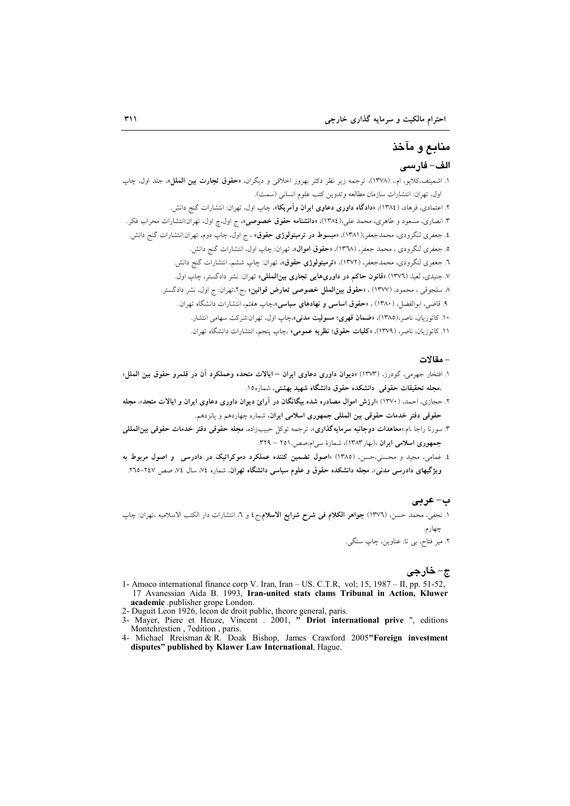# منابع و مآخذ الف- فارسى

۱. اشمیتف،کلایو، ام.، (۱۳۷۸)، ترجمه زیر نظر دکتر بهروز اخلاقی و دیگران، «**حقوق تجارت بین الملل»**، جلد اول، چاپ اول، تهران: انتشارات سازمان مطالعه وتدوين كتب علوم انساني (سمت). ۲. اعتمادی، فرهاد، (۱۳۸٤)، «**دادگاه داوری دعاوی ایران وآمریکا**»، چاپ اول، تهران: انتشارات گنج دانش. ۳. انصاری، مسعود و طاهری، محمد علی،(۱۳۸٤)، «**دانشنامه حقوق خصوصی»**، ج اول،چ اول، تهران:انتشارات محراب فکر. ٤. جعفری لنگرودی، محمدجعفر،(١٣٨١)، «م**بسوط در ترمینولوژی حقوق**» ، ج اول، چاپ دوم، تهران:انتشارات گنج دانش. ٥. جعفري لنگرودي ، محمد جعفر، (١٣٦٨)، «حقوق اموال»، تهران: چاپ اول، انتشارات گنج دانش. ٦. جعفری لنگرودی، محمدجعفر، (١٣٧٢)، «**ترمینولوژی حقوق»**، تهران: چاپ ششم، انتشارات گنج دانش. ۷. جنیدی، لعیا، (۱۳۷٦) «قانون حاکم در داوریهایی تجاری بینالمللی» تهران: نشر دادگستر، چاپ اول. ٨ سلجوقي ، محمود، (١٣٧٧) ، «حقوق بينالملل خصوصي تعارض قوانين» ،ج٢،تهران: ج اول، نشر دادگستر. ۹. قاضی، ابوالفضل، (۱۳۸۰) ، «حقوق ا**ساسی و نهادهای سیاسی»**،چاپ هفتم، انتشارات دانشگاه تهران. ۱۰. کاتوزیان، ناصر،(۱۳۸۵)، «**ضمان قهری؛ مسولیت مدنی»**،چاپ اول، تهران:شرکت سهامی انتشار. ١١. كاتوزيان، ناصر، (١٣٧٩)، «كليات حقوق؛ نظريه عمومي» ،چاپ پنجم، انتشارات دانشگاه تهران.

### – مقالات

- ا. افتخار جهرم<sub>ی،</sub> گودرز، (۱۳۷۳) «<mark>دیوان داوری دعاوی ایران ایالات متحده وعملکرد آن در قلمرو حقوق بین الملل</mark>» ،مجله تحقیقات حقوقی دانشکده حقوق دانشگاه شهید بهشتی، شماره۱۵.
- ۲. حجازی، احمد، (۱۳۷۰) «ارزش اموال مصادره شده بیگانگان در آرائ دیوان داوری دعاوی ایران و ایالات متحد»، مجله حقوقی دفتر خدمات حقوقی بین المللی جمهوری اسلامی ایران، شماره چهاردهم و یانزدهم.
- ۳. سورنا راجا ،ام.«معاهدات **دوجانبه سرمایهگذاری**»، ترجمه توکل حبیب(اده، **مجله حقوقی دفتر خدمات حقوقی بین(لمللی** جمهوری اسلامی ایران ،(بهار ۱۳۸۳)، شمارهٔ سی ام صص. ۲۵۱ – ۳۲۹.
- ٤. غمام ِ,، مجيد و محسنى،حسنِ, (١٣٨٥) «اصول تضمين كننده عملكرد دموكراتيك در دادرسي و اصول مربوط به ویژگیهای دادرسی مدنی»، مجله دانشکده حقوق و علوم سیاسی دانشگاه تهران، شماره ۷٤، سال ۷٤، صص ۲٤٧–٢٦٥.

### ب-عربي

١. نجفي، محمد حسن، (١٣٧٦) **جواهر الكلام في شرح شرايع الاسلام** ج٤ و ٦، انتشارات دار الكتب الاسلاميه ،تهران: چاپ چهارم.

٢. مير فتاح، بي تا. عناوين، چاپ سنگي.

## ج- خارجي

- 1- Amoco international finance corp V. Iran, Iran US. C.T.R, vol; 15, 1987 II, pp. 51-52, 17 Avanessian Aida B. 1993, Iran-united stats clams Tribunal in Action, Kluwer academic .publisher grope London.
- 2- Duguit Léon 1926, lecon de droit public, theore general, paris.
- 3- Mayer, Piere et Heuze, Vincent . 2001, " Driot international prive ", editions Montchrestien, 7edition, paris.<br>4- Michael Rreisman & R. Doak Bishop, James Crawford 2005**"Foreign investment**
- disputes" published by Klawer Law International, Hague.